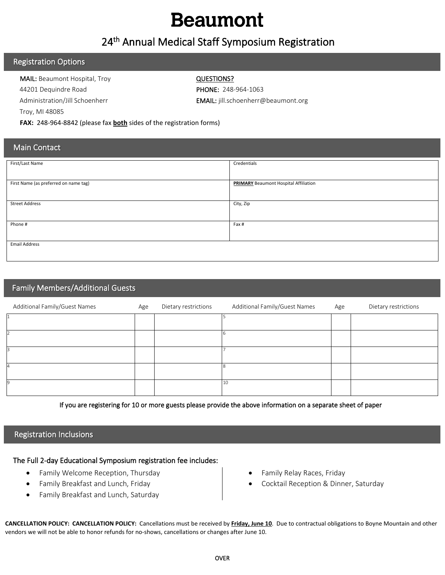## **Beaumont**

### 24th Annual Medical Staff Symposium Registration

#### Registration Options

MAIL: Beaumont Hospital, Troy **QUESTIONS?** 44201 Dequindre Road PHONE: 248-964-1063 Troy, MI 48085

Administration/Jill Schoenherr **EMAIL:** jill.schoenherr@beaumont.org

FAX: 248-964-8842 (please fax **both** sides of the registration forms)

#### Main Contact

| First/Last Name                       | Credentials                                  |
|---------------------------------------|----------------------------------------------|
|                                       |                                              |
|                                       |                                              |
|                                       |                                              |
| First Name (as preferred on name tag) | <b>PRIMARY</b> Beaumont Hospital Affiliation |
|                                       |                                              |
|                                       |                                              |
|                                       |                                              |
| <b>Street Address</b>                 | City, Zip                                    |
|                                       |                                              |
|                                       |                                              |
|                                       |                                              |
| Phone #                               | Fax #                                        |
|                                       |                                              |
|                                       |                                              |
|                                       |                                              |
| <b>Email Address</b>                  |                                              |
|                                       |                                              |
|                                       |                                              |
|                                       |                                              |

#### Family Members/Additional Guests

| Additional Family/Guest Names | Age | Dietary restrictions | Additional Family/Guest Names | Age | Dietary restrictions |
|-------------------------------|-----|----------------------|-------------------------------|-----|----------------------|
|                               |     |                      |                               |     |                      |
|                               |     |                      |                               |     |                      |
|                               |     |                      |                               |     |                      |
|                               |     |                      |                               |     |                      |
| $\Omega$                      |     |                      | 10                            |     |                      |

If you are registering for 10 or more guests please provide the above information on a separate sheet of paper

#### Registration Inclusions

#### The Full 2-day Educational Symposium registration fee includes:

- Family Welcome Reception, Thursday
- Family Breakfast and Lunch, Friday
- Family Breakfast and Lunch, Saturday
- Family Relay Races, Friday
- Cocktail Reception & Dinner, Saturday

**CANCELLATION POLICY: CANCELLATION POLICY:** Cancellations must be received by **Friday, June 10**. Due to contractual obligations to Boyne Mountain and other vendors we will not be able to honor refunds for no-shows, cancellations or changes after June 10.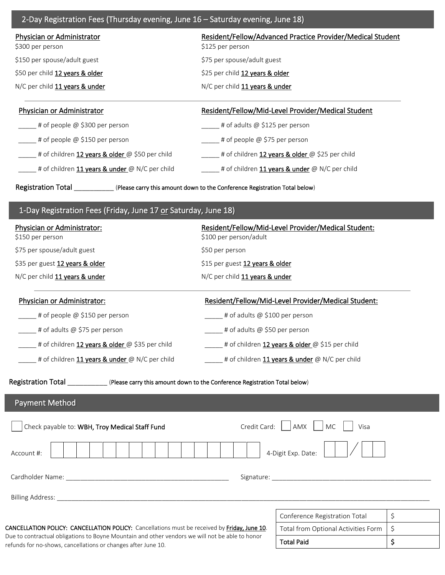| 2-Day Registration Fees (Thursday evening, June 16 - Saturday evening, June 18)                                                                                                                                                                                                                                              |                                                      |                                                            |    |  |  |
|------------------------------------------------------------------------------------------------------------------------------------------------------------------------------------------------------------------------------------------------------------------------------------------------------------------------------|------------------------------------------------------|------------------------------------------------------------|----|--|--|
| Physician or Administrator                                                                                                                                                                                                                                                                                                   |                                                      | Resident/Fellow/Advanced Practice Provider/Medical Student |    |  |  |
| \$300 per person                                                                                                                                                                                                                                                                                                             | \$125 per person                                     |                                                            |    |  |  |
| \$150 per spouse/adult guest                                                                                                                                                                                                                                                                                                 | \$75 per spouse/adult guest                          |                                                            |    |  |  |
| \$50 per child 12 years & older                                                                                                                                                                                                                                                                                              | \$25 per child 12 years & older                      |                                                            |    |  |  |
| N/C per child 11 years & under                                                                                                                                                                                                                                                                                               | N/C per child 11 years & under                       |                                                            |    |  |  |
| <b>Physician or Administrator</b>                                                                                                                                                                                                                                                                                            |                                                      | Resident/Fellow/Mid-Level Provider/Medical Student         |    |  |  |
| $\mu$ # of people @ \$300 per person                                                                                                                                                                                                                                                                                         |                                                      | $\frac{1}{2}$ # of adults @ \$125 per person               |    |  |  |
| $\equiv$ # of people @ \$150 per person<br>_____# of people @ \$75 per person                                                                                                                                                                                                                                                |                                                      |                                                            |    |  |  |
| t of children 12 years & older @ \$50 per child                                                                                                                                                                                                                                                                              |                                                      | # of children 12 years & older @ \$25 per child            |    |  |  |
| # of children 11 years & under @ N/C per child                                                                                                                                                                                                                                                                               |                                                      | = # of children 11 years & under @ N/C per child           |    |  |  |
| Registration Total <b>Manufact Clubses</b> (Please carry this amount down to the Conference Registration Total below)                                                                                                                                                                                                        |                                                      |                                                            |    |  |  |
| 1-Day Registration Fees (Friday, June 17 or Saturday, June 18)                                                                                                                                                                                                                                                               |                                                      |                                                            |    |  |  |
| Physician or Administrator:                                                                                                                                                                                                                                                                                                  | \$100 per person/adult                               | Resident/Fellow/Mid-Level Provider/Medical Student:        |    |  |  |
| \$150 per person<br>\$75 per spouse/adult guest                                                                                                                                                                                                                                                                              | \$50 per person                                      |                                                            |    |  |  |
| \$35 per guest 12 years & older                                                                                                                                                                                                                                                                                              | \$15 per guest 12 years & older                      |                                                            |    |  |  |
| N/C per child 11 years & under                                                                                                                                                                                                                                                                                               | N/C per child 11 years & under                       |                                                            |    |  |  |
| Physician or Administrator:                                                                                                                                                                                                                                                                                                  |                                                      | Resident/Fellow/Mid-Level Provider/Medical Student:        |    |  |  |
| # of people $@$ \$150 per person                                                                                                                                                                                                                                                                                             | # of adults @ \$100 per person                       |                                                            |    |  |  |
| # of adults @ \$75 per person<br># of adults @ \$50 per person                                                                                                                                                                                                                                                               |                                                      |                                                            |    |  |  |
| # of children 12 years & older @ \$35 per child                                                                                                                                                                                                                                                                              | ____ # of children 12 years & older @ \$15 per child |                                                            |    |  |  |
| # of children 11 years & under @ N/C per child                                                                                                                                                                                                                                                                               | # of children 11 years & under @ N/C per child       |                                                            |    |  |  |
|                                                                                                                                                                                                                                                                                                                              |                                                      |                                                            |    |  |  |
| Registration Total <b>Network</b> (Please carry this amount down to the Conference Registration Total below)                                                                                                                                                                                                                 |                                                      |                                                            |    |  |  |
| <b>Payment Method</b>                                                                                                                                                                                                                                                                                                        |                                                      |                                                            |    |  |  |
| Check payable to: WBH, Troy Medical Staff Fund                                                                                                                                                                                                                                                                               | Credit Card:                                         | AMX<br><b>MC</b><br>Visa                                   |    |  |  |
| 4-Digit Exp. Date:<br>Account #:                                                                                                                                                                                                                                                                                             |                                                      |                                                            |    |  |  |
|                                                                                                                                                                                                                                                                                                                              |                                                      |                                                            |    |  |  |
|                                                                                                                                                                                                                                                                                                                              |                                                      |                                                            |    |  |  |
|                                                                                                                                                                                                                                                                                                                              |                                                      |                                                            |    |  |  |
|                                                                                                                                                                                                                                                                                                                              |                                                      |                                                            |    |  |  |
|                                                                                                                                                                                                                                                                                                                              |                                                      | Conference Registration Total                              | \$ |  |  |
| CANCELLATION POLICY: CANCELLATION POLICY: Cancellations must be received by Friday, June 10.<br>Total from Optional Activities Form<br>Due to contractual obligations to Boyne Mountain and other vendors we will not be able to honor<br><b>Total Paid</b><br>refunds for no-shows, cancellations or changes after June 10. |                                                      | \$                                                         |    |  |  |
|                                                                                                                                                                                                                                                                                                                              |                                                      |                                                            | \$ |  |  |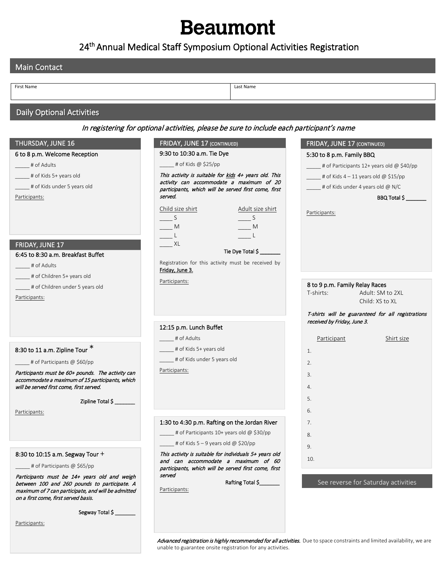# **Beaumont**

### 24<sup>th</sup> Annual Medical Staff Symposium Optional Activities Registration

| <b>Main Contact</b>                                                                                                                        |                                                                                                  |                                                         |
|--------------------------------------------------------------------------------------------------------------------------------------------|--------------------------------------------------------------------------------------------------|---------------------------------------------------------|
|                                                                                                                                            |                                                                                                  |                                                         |
| First Name                                                                                                                                 | Last Name                                                                                        |                                                         |
| <b>Daily Optional Activities</b>                                                                                                           |                                                                                                  |                                                         |
|                                                                                                                                            | In registering for optional activities, please be sure to include each participant's name        |                                                         |
| THURSDAY, JUNE 16                                                                                                                          | <b>FRIDAY, JUNE 17 (CONTINUED)</b>                                                               | FRIDAY, JUNE 17 (CONTINUED)                             |
| 6 to 8 p.m. Welcome Reception                                                                                                              | 9:30 to 10:30 a.m. Tie Dye                                                                       | 5:30 to 8 p.m. Family BBQ                               |
| # of Adults                                                                                                                                | $\equiv$ # of Kids @ \$25/pp                                                                     | $\frac{1}{2}$ # of Participants 12+ years old @ \$40/pp |
| # of Kids 5+ years old                                                                                                                     | This activity is suitable for kids 4+ years old. This                                            | $\frac{1}{2}$ # of Kids 4 - 11 years old @ \$15/pp      |
| # of Kids under 5 years old                                                                                                                | activity can accommodate a maximum of 20<br>participants, which will be served first come, first | $\pm$ # of Kids under 4 years old @ N/C                 |
| Participants:                                                                                                                              | served.                                                                                          | BBQ Total \$                                            |
|                                                                                                                                            | Adult size shirt<br>Child size shirt                                                             |                                                         |
|                                                                                                                                            |                                                                                                  | Participants:                                           |
|                                                                                                                                            | M<br>– M                                                                                         |                                                         |
|                                                                                                                                            | XL                                                                                               |                                                         |
| FRIDAY, JUNE 17<br>6:45 to 8:30 a.m. Breakfast Buffet                                                                                      | Tie Dye Total \$                                                                                 |                                                         |
| # of Adults                                                                                                                                | Registration for this activity must be received by                                               |                                                         |
| # of Children 5+ years old                                                                                                                 | Friday, June 3.                                                                                  |                                                         |
| # of Children under 5 years old                                                                                                            | Participants:                                                                                    | 8 to 9 p.m. Family Relay Races                          |
| Participants:                                                                                                                              |                                                                                                  | T-shirts:<br>Adult: SM to 2XL                           |
|                                                                                                                                            |                                                                                                  | Child: XS to XL                                         |
|                                                                                                                                            |                                                                                                  | T-shirts will be guaranteed for all registrations       |
|                                                                                                                                            | 12:15 p.m. Lunch Buffet                                                                          | received by Friday, June 3.                             |
|                                                                                                                                            | # of Adults                                                                                      | Participant<br>Shirt size                               |
| 8:30 to 11 a.m. Zipline Tour *                                                                                                             | # of Kids 5+ years old                                                                           | 1.                                                      |
| # of Participants @ \$60/pp                                                                                                                | _# of Kids under 5 years old                                                                     | 2.                                                      |
| Participants must be 60+ pounds. The activity can                                                                                          | Participants:                                                                                    |                                                         |
| accommodate a maximum of 15 participants, which                                                                                            |                                                                                                  | 3.                                                      |
| will be served first come, first served.                                                                                                   |                                                                                                  | 4.                                                      |
| Zipline Total \$                                                                                                                           |                                                                                                  | 5.                                                      |
| Participants:                                                                                                                              |                                                                                                  | 6.                                                      |
|                                                                                                                                            | 1:30 to 4:30 p.m. Rafting on the Jordan River                                                    | 7.                                                      |
|                                                                                                                                            | # of Participants 10+ years old @ \$30/pp                                                        | 8.                                                      |
|                                                                                                                                            | $\frac{1}{2}$ # of Kids 5 – 9 years old @ \$20/pp                                                | 9.                                                      |
| 8:30 to 10:15 a.m. Segway Tour +                                                                                                           | This activity is suitable for individuals 5+ years old<br>and can accommodate a maximum of 60    | 10.                                                     |
| # of Participants @ \$65/pp                                                                                                                | participants, which will be served first come, first                                             |                                                         |
| Participants must be 14+ years old and weigh                                                                                               | served                                                                                           |                                                         |
| between 100 and 260 pounds to participate. A<br>maximum of 7 can participate, and will be admitted<br>on a first come, first served basis. | Rafting Total \$<br>Participants:                                                                | See reverse for Saturday activities                     |

Segway Total \$\_

Participants:

Advanced registration is highly recommended for all activities. Due to space constraints and limited availability, we are unable to guarantee onsite registration for any activities.